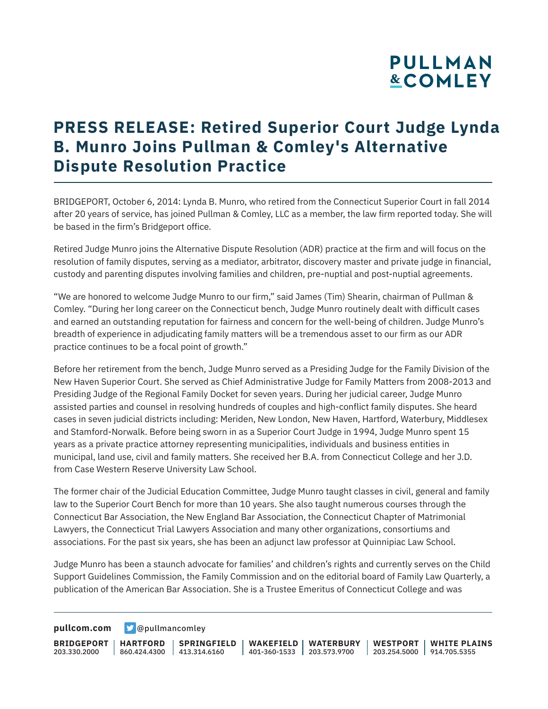# **PULLMAN &COMLEY**

# **PRESS RELEASE: Retired Superior Court Judge Lynda B. Munro Joins Pullman & Comley's Alternative Dispute Resolution Practice**

BRIDGEPORT, October 6, 2014: Lynda B. Munro, who retired from the Connecticut Superior Court in fall 2014 after 20 years of service, has joined Pullman & Comley, LLC as a member, the law firm reported today. She will be based in the firm's Bridgeport office.

Retired Judge Munro joins the Alternative Dispute Resolution (ADR) practice at the firm and will focus on the resolution of family disputes, serving as a mediator, arbitrator, discovery master and private judge in financial, custody and parenting disputes involving families and children, pre-nuptial and post-nuptial agreements.

"We are honored to welcome Judge Munro to our firm," said James (Tim) Shearin, chairman of Pullman & Comley. "During her long career on the Connecticut bench, Judge Munro routinely dealt with difficult cases and earned an outstanding reputation for fairness and concern for the well-being of children. Judge Munro's breadth of experience in adjudicating family matters will be a tremendous asset to our firm as our ADR practice continues to be a focal point of growth."

Before her retirement from the bench, Judge Munro served as a Presiding Judge for the Family Division of the New Haven Superior Court. She served as Chief Administrative Judge for Family Matters from 2008-2013 and Presiding Judge of the Regional Family Docket for seven years. During her judicial career, Judge Munro assisted parties and counsel in resolving hundreds of couples and high-conflict family disputes. She heard cases in seven judicial districts including: Meriden, New London, New Haven, Hartford, Waterbury, Middlesex and Stamford-Norwalk. Before being sworn in as a Superior Court Judge in 1994, Judge Munro spent 15 years as a private practice attorney representing municipalities, individuals and business entities in municipal, land use, civil and family matters. She received her B.A. from Connecticut College and her J.D. from Case Western Reserve University Law School.

The former chair of the Judicial Education Committee, Judge Munro taught classes in civil, general and family law to the Superior Court Bench for more than 10 years. She also taught numerous courses through the Connecticut Bar Association, the New England Bar Association, the Connecticut Chapter of Matrimonial Lawyers, the Connecticut Trial Lawyers Association and many other organizations, consortiums and associations. For the past six years, she has been an adjunct law professor at Quinnipiac Law School.

Judge Munro has been a staunch advocate for families' and children's rights and currently serves on the Child Support Guidelines Commission, the Family Commission and on the editorial board of Family Law Quarterly, a publication of the American Bar Association. She is a Trustee Emeritus of Connecticut College and was

**[pullcom.com](https://www.pullcom.com) g** [@pullmancomley](https://twitter.com/PullmanComley)

**BRIDGEPORT** 203.330.2000 **HARTFORD** 860.424.4300 413.314.6160 **SPRINGFIELD WAKEFIELD WATERBURY** 401-360-1533 203.573.9700 **WESTPORT WHITE PLAINS** 203.254.5000 914.705.5355